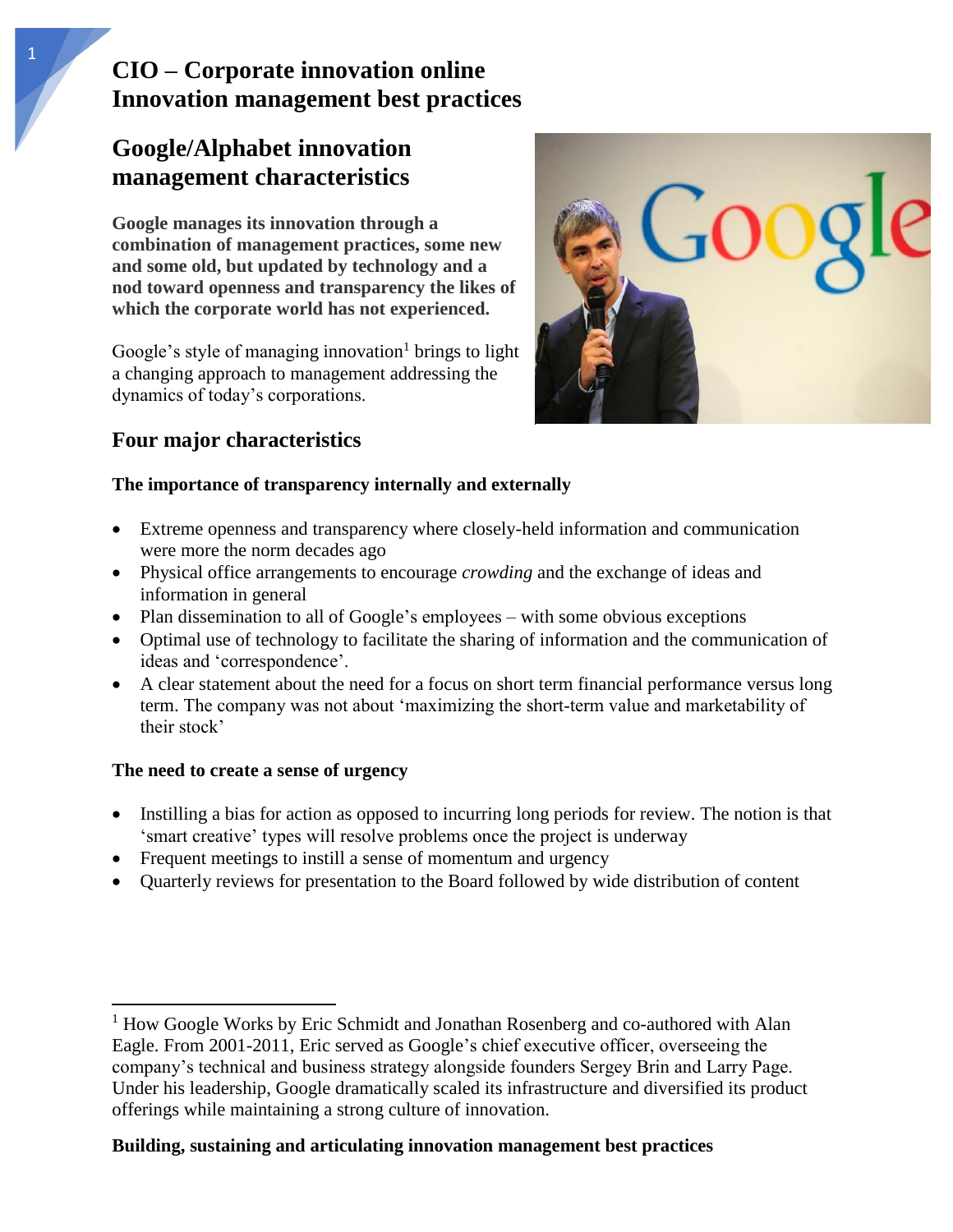# **CIO – Corporate innovation online Innovation management best practices**

# **Google/Alphabet innovation management characteristics**

**Google manages its innovation through a combination of management practices, some new and some old, but updated by technology and a nod toward openness and transparency the likes of which the corporate world has not experienced.** 

Google's style of managing innovation<sup>1</sup> brings to light a changing approach to management addressing the dynamics of today's corporations.



## **Four major characteristics**

### **The importance of transparency internally and externally**

- Extreme openness and transparency where closely-held information and communication were more the norm decades ago
- Physical office arrangements to encourage *crowding* and the exchange of ideas and information in general
- Plan dissemination to all of Google's employees with some obvious exceptions
- Optimal use of technology to facilitate the sharing of information and the communication of ideas and 'correspondence'.
- A clear statement about the need for a focus on short term financial performance versus long term. The company was not about 'maximizing the short-term value and marketability of their stock'

### **The need to create a sense of urgency**

 $\overline{\phantom{a}}$ 

- Instilling a bias for action as opposed to incurring long periods for review. The notion is that 'smart creative' types will resolve problems once the project is underway
- Frequent meetings to instill a sense of momentum and urgency
- Quarterly reviews for presentation to the Board followed by wide distribution of content

### **Building, sustaining and articulating innovation management best practices**

<sup>&</sup>lt;sup>1</sup> How Google Works by Eric Schmidt and Jonathan Rosenberg and co-authored with Alan Eagle. From 2001-2011, Eric served as Google's chief executive officer, overseeing the company's technical and business strategy alongside founders Sergey Brin and Larry Page. Under his leadership, Google dramatically scaled its infrastructure and diversified its product offerings while maintaining a strong culture of innovation.